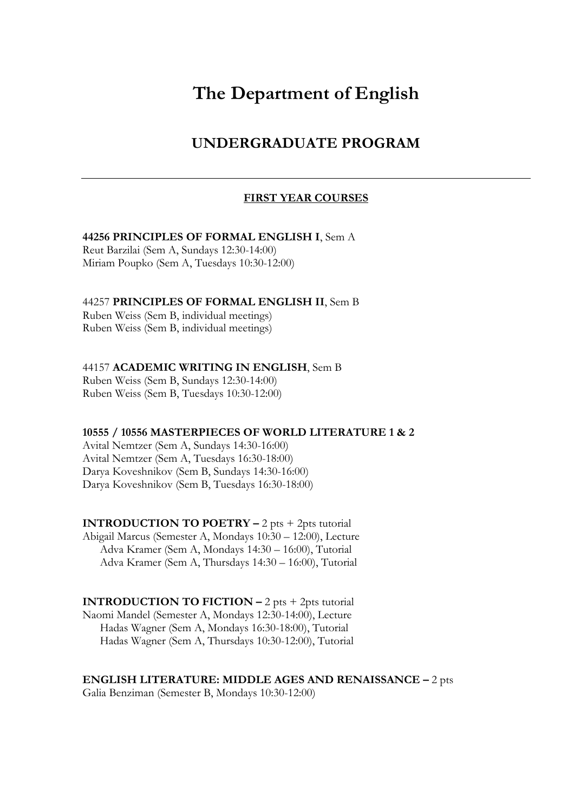# **The Department of English**

## **UNDERGRADUATE PROGRAM**

#### **FIRST YEAR COURSES**

#### **44256 PRINCIPLES OF FORMAL ENGLISH I**, Sem A

Reut Barzilai (Sem A, Sundays 12:30-14:00) Miriam Poupko (Sem A, Tuesdays 10:30-12:00)

#### 44257 **PRINCIPLES OF FORMAL ENGLISH II**, Sem B

Ruben Weiss (Sem B, individual meetings) Ruben Weiss (Sem B, individual meetings)

#### 44157 **ACADEMIC WRITING IN ENGLISH**, Sem B

Ruben Weiss (Sem B, Sundays 12:30-14:00) Ruben Weiss (Sem B, Tuesdays 10:30-12:00)

#### **10555 / 10556 MASTERPIECES OF WORLD LITERATURE 1 & 2**

Avital Nemtzer (Sem A, Sundays 14:30-16:00) Avital Nemtzer (Sem A, Tuesdays 16:30-18:00) Darya Koveshnikov (Sem B, Sundays 14:30-16:00) Darya Koveshnikov (Sem B, Tuesdays 16:30-18:00)

**INTRODUCTION TO POETRY –** 2 pts + 2pts tutorial Abigail Marcus (Semester A, Mondays 10:30 – 12:00), Lecture Adva Kramer (Sem A, Mondays 14:30 – 16:00), Tutorial Adva Kramer (Sem A, Thursdays 14:30 – 16:00), Tutorial

**INTRODUCTION TO FICTION**  $-2$  **pts**  $+2$ **pts tutorial** Naomi Mandel (Semester A, Mondays 12:30-14:00), Lecture Hadas Wagner (Sem A, Mondays 16:30-18:00), Tutorial Hadas Wagner (Sem A, Thursdays 10:30-12:00), Tutorial

**ENGLISH LITERATURE: MIDDLE AGES AND RENAISSANCE –** 2 pts

Galia Benziman (Semester B, Mondays 10:30-12:00)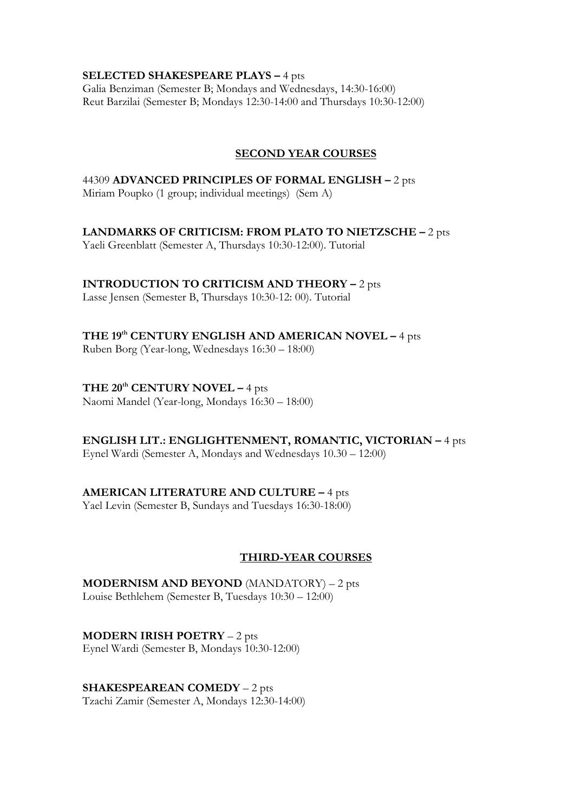#### **SELECTED SHAKESPEARE PLAYS –** 4 pts

Galia Benziman (Semester B; Mondays and Wednesdays, 14:30-16:00) Reut Barzilai (Semester B; Mondays 12:30-14:00 and Thursdays 10:30-12:00)

#### **SECOND YEAR COURSES**

### 44309 **ADVANCED PRINCIPLES OF FORMAL ENGLISH –** 2 pts Miriam Poupko (1 group; individual meetings) (Sem A)

**LANDMARKS OF CRITICISM: FROM PLATO TO NIETZSCHE –** 2 pts

Yaeli Greenblatt (Semester A, Thursdays 10:30-12:00). Tutorial

**INTRODUCTION TO CRITICISM AND THEORY –** 2 pts

Lasse Jensen (Semester B, Thursdays 10:30-12: 00). Tutorial

**THE 19th CENTURY ENGLISH AND AMERICAN NOVEL –** 4 pts

Ruben Borg (Year-long, Wednesdays 16:30 – 18:00)

## **THE 20th CENTURY NOVEL –** 4 pts

Naomi Mandel (Year-long, Mondays 16:30 – 18:00)

## **ENGLISH LIT.: ENGLIGHTENMENT, ROMANTIC, VICTORIAN –** 4 pts

Eynel Wardi (Semester A, Mondays and Wednesdays 10.30 – 12:00)

## **AMERICAN LITERATURE AND CULTURE –** 4 pts

Yael Levin (Semester B, Sundays and Tuesdays 16:30-18:00)

## **THIRD-YEAR COURSES**

**MODERNISM AND BEYOND** (MANDATORY) – 2 pts Louise Bethlehem (Semester B, Tuesdays 10:30 – 12:00)

**MODERN IRISH POETRY** – 2 pts Eynel Wardi (Semester B, Mondays 10:30-12:00)

**SHAKESPEAREAN COMEDY** – 2 pts Tzachi Zamir (Semester A, Mondays 12:30-14:00)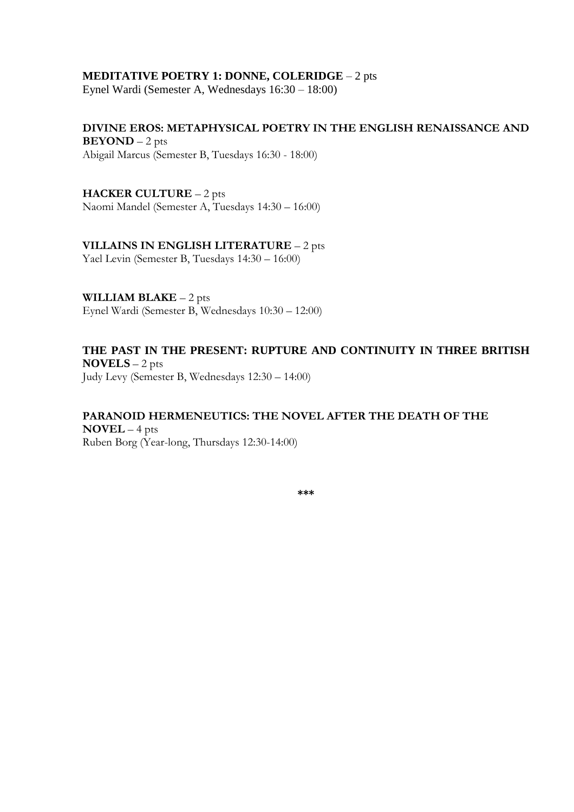#### **MEDITATIVE POETRY 1: DONNE, COLERIDGE** – 2 pts

Eynel Wardi (Semester A, Wednesdays 16:30 – 18:00)

**DIVINE EROS: METAPHYSICAL POETRY IN THE ENGLISH RENAISSANCE AND BEYOND** – 2 pts Abigail Marcus (Semester B, Tuesdays 16:30 - 18:00)

**HACKER CULTURE** – 2 pts Naomi Mandel (Semester A, Tuesdays 14:30 – 16:00)

#### **VILLAINS IN ENGLISH LITERATURE** – 2 pts

Yael Levin (Semester B, Tuesdays 14:30 – 16:00)

**WILLIAM BLAKE** – 2 pts Eynel Wardi (Semester B, Wednesdays 10:30 – 12:00)

## **THE PAST IN THE PRESENT: RUPTURE AND CONTINUITY IN THREE BRITISH NOVELS** – 2 pts

Judy Levy (Semester B, Wednesdays 12:30 – 14:00)

#### **PARANOID HERMENEUTICS: THE NOVEL AFTER THE DEATH OF THE NOVEL** – 4 pts Ruben Borg (Year-long, Thursdays 12:30-14:00)

**\*\*\***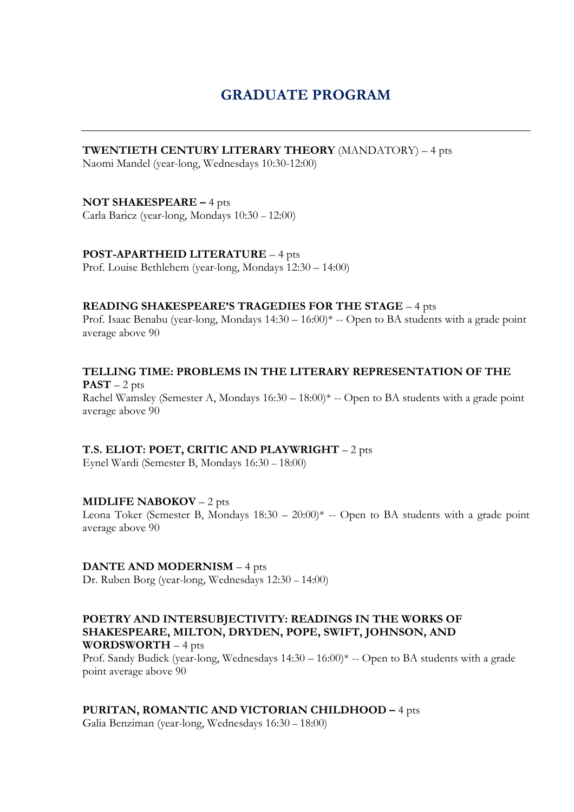## **GRADUATE PROGRAM**

### **TWENTIETH CENTURY LITERARY THEORY** (MANDATORY) – 4 pts

Naomi Mandel (year-long, Wednesdays 10:30-12:00)

#### **NOT SHAKESPEARE –** 4 pts

Carla Baricz (year-long, Mondays 10:30 – 12:00)

#### **POST-APARTHEID LITERATURE** – 4 pts

Prof. Louise Bethlehem (year-long, Mondays 12:30 – 14:00)

#### **READING SHAKESPEARE'S TRAGEDIES FOR THE STAGE** – 4 pts

Prof. Isaac Benabu (year-long, Mondays 14:30 – 16:00)\* -- Open to BA students with a grade point average above 90

**TELLING TIME: PROBLEMS IN THE LITERARY REPRESENTATION OF THE**  $PAST - 2 pts$ Rachel Wamsley (Semester A, Mondays  $16:30 - 18:00$ )<sup>\*</sup> -- Open to BA students with a grade point average above 90

#### **T.S. ELIOT: POET, CRITIC AND PLAYWRIGHT** – 2 pts

Eynel Wardi (Semester B, Mondays 16:30 – 18:00)

#### **MIDLIFE NABOKOV** – 2 pts

Leona Toker (Semester B, Mondays  $18:30 - 20:00$ )<sup>\*</sup> -- Open to BA students with a grade point average above 90

#### **DANTE AND MODERNISM** – 4 pts

Dr. Ruben Borg (year-long, Wednesdays 12:30 – 14:00)

#### **POETRY AND INTERSUBJECTIVITY: READINGS IN THE WORKS OF SHAKESPEARE, MILTON, DRYDEN, POPE, SWIFT, JOHNSON, AND WORDSWORTH** – 4 pts

Prof. Sandy Budick (year-long, Wednesdays 14:30 – 16:00)\* -- Open to BA students with a grade point average above 90

#### **PURITAN, ROMANTIC AND VICTORIAN CHILDHOOD –** 4 pts

Galia Benziman (year-long, Wednesdays 16:30 – 18:00)